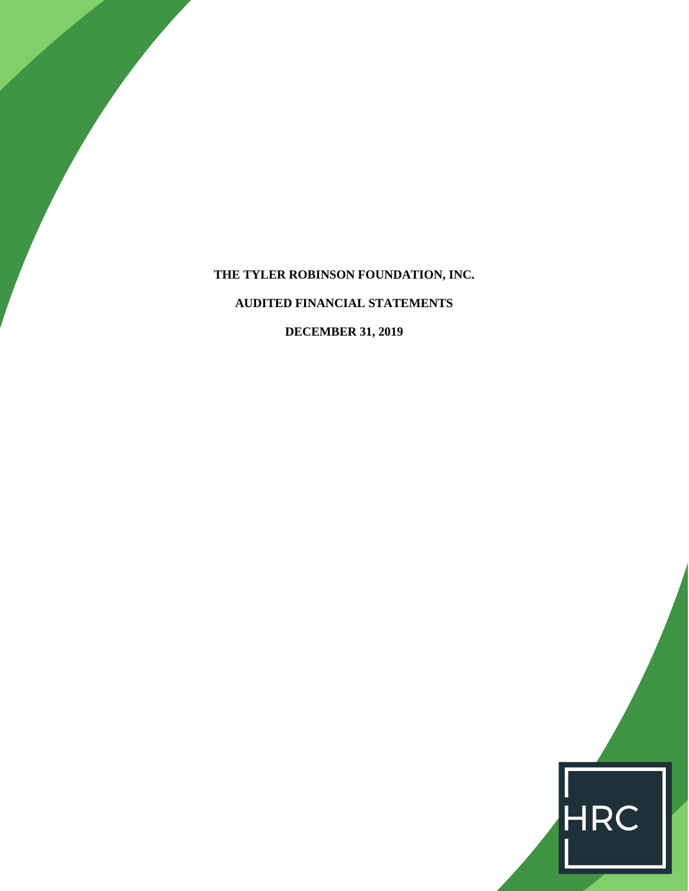**THE TYLER ROBINSON FOUNDATION, INC. AUDITED FINANCIAL STATEMENTS DECEMBER 31, 2019**

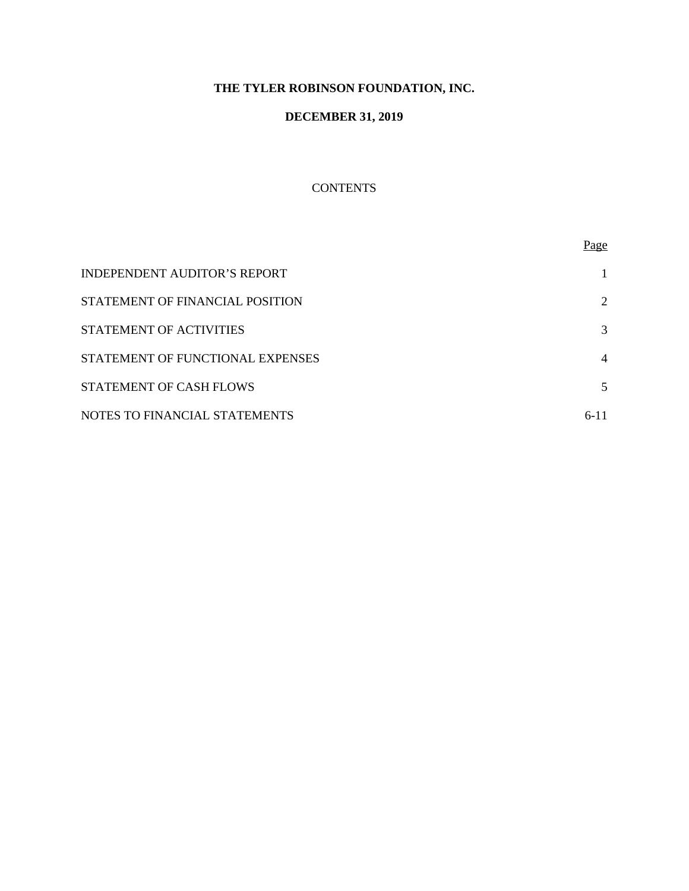# **THE TYLER ROBINSON FOUNDATION, INC.**

# **DECEMBER 31, 2019**

# **CONTENTS**

|                                     | Page           |
|-------------------------------------|----------------|
| <b>INDEPENDENT AUDITOR'S REPORT</b> |                |
| STATEMENT OF FINANCIAL POSITION     | 2              |
| STATEMENT OF ACTIVITIES             | 3              |
| STATEMENT OF FUNCTIONAL EXPENSES    | $\overline{4}$ |
| STATEMENT OF CASH FLOWS             | 5              |
| NOTES TO FINANCIAL STATEMENTS       | 6-11           |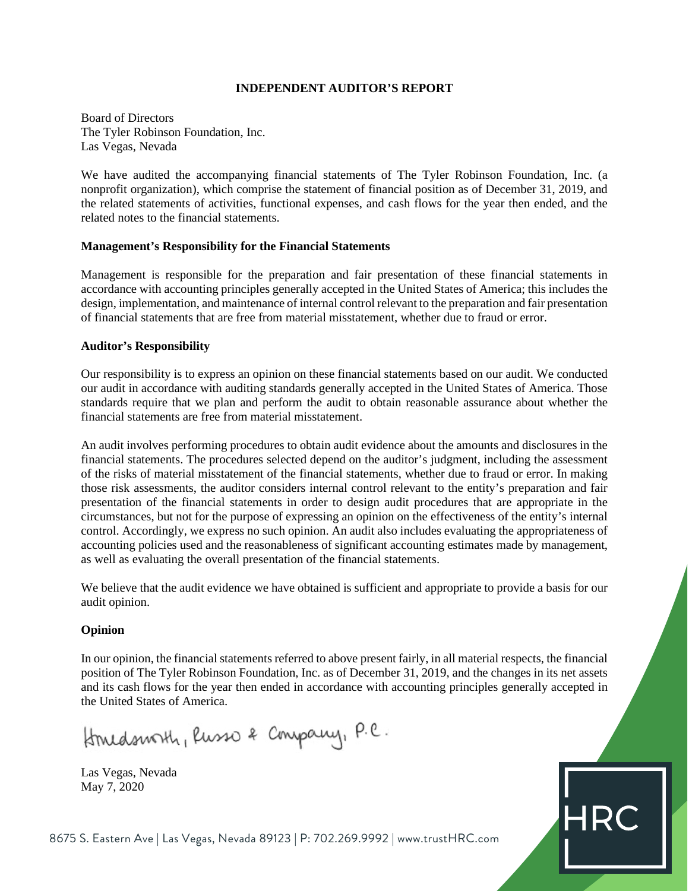### **INDEPENDENT AUDITOR'S REPORT**

Board of Directors The Tyler Robinson Foundation, Inc. Las Vegas, Nevada

We have audited the accompanying financial statements of The Tyler Robinson Foundation, Inc. (a nonprofit organization), which comprise the statement of financial position as of December 31, 2019, and the related statements of activities, functional expenses, and cash flows for the year then ended, and the related notes to the financial statements.

# **Management's Responsibility for the Financial Statements**

Management is responsible for the preparation and fair presentation of these financial statements in accordance with accounting principles generally accepted in the United States of America; this includes the design, implementation, and maintenance of internal control relevant to the preparation and fair presentation of financial statements that are free from material misstatement, whether due to fraud or error.

# **Auditor's Responsibility**

Our responsibility is to express an opinion on these financial statements based on our audit. We conducted our audit in accordance with auditing standards generally accepted in the United States of America. Those standards require that we plan and perform the audit to obtain reasonable assurance about whether the financial statements are free from material misstatement.

An audit involves performing procedures to obtain audit evidence about the amounts and disclosures in the financial statements. The procedures selected depend on the auditor's judgment, including the assessment of the risks of material misstatement of the financial statements, whether due to fraud or error. In making those risk assessments, the auditor considers internal control relevant to the entity's preparation and fair presentation of the financial statements in order to design audit procedures that are appropriate in the circumstances, but not for the purpose of expressing an opinion on the effectiveness of the entity's internal control. Accordingly, we express no such opinion. An audit also includes evaluating the appropriateness of accounting policies used and the reasonableness of significant accounting estimates made by management, as well as evaluating the overall presentation of the financial statements.

We believe that the audit evidence we have obtained is sufficient and appropriate to provide a basis for our audit opinion.

# **Opinion**

In our opinion, the financial statements referred to above present fairly, in all material respects, the financial position of The Tyler Robinson Foundation, Inc. as of December 31, 2019, and the changes in its net assets and its cash flows for the year then ended in accordance with accounting principles generally accepted in the United States of America.

**HR** 

Homedsmoth, Russo & Company, P.C.

Las Vegas, Nevada May 7, 2020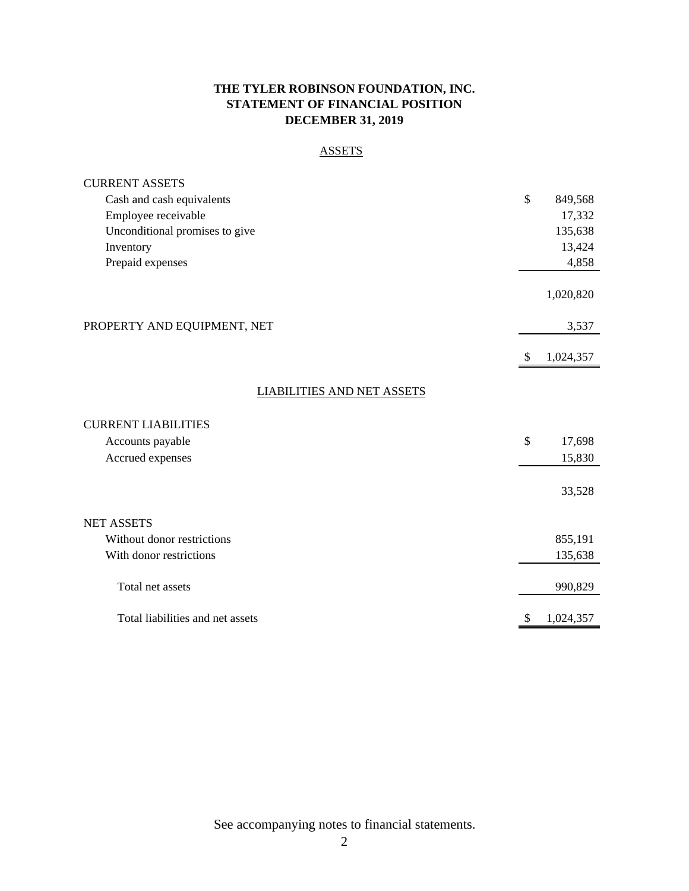# **THE TYLER ROBINSON FOUNDATION, INC. STATEMENT OF FINANCIAL POSITION DECEMBER 31, 2019**

# ASSETS

| <b>CURRENT ASSETS</b>             |                 |  |
|-----------------------------------|-----------------|--|
| Cash and cash equivalents         | \$<br>849,568   |  |
| Employee receivable               | 17,332          |  |
| Unconditional promises to give    | 135,638         |  |
| Inventory                         | 13,424          |  |
| Prepaid expenses                  | 4,858           |  |
|                                   | 1,020,820       |  |
| PROPERTY AND EQUIPMENT, NET       | 3,537           |  |
|                                   | \$<br>1,024,357 |  |
| <b>LIABILITIES AND NET ASSETS</b> |                 |  |
| <b>CURRENT LIABILITIES</b>        |                 |  |
| Accounts payable                  | \$<br>17,698    |  |
| Accrued expenses                  | 15,830          |  |
|                                   | 33,528          |  |
| <b>NET ASSETS</b>                 |                 |  |
| Without donor restrictions        | 855,191         |  |
| With donor restrictions           | 135,638         |  |
| Total net assets                  | 990,829         |  |
| Total liabilities and net assets  | \$<br>1,024,357 |  |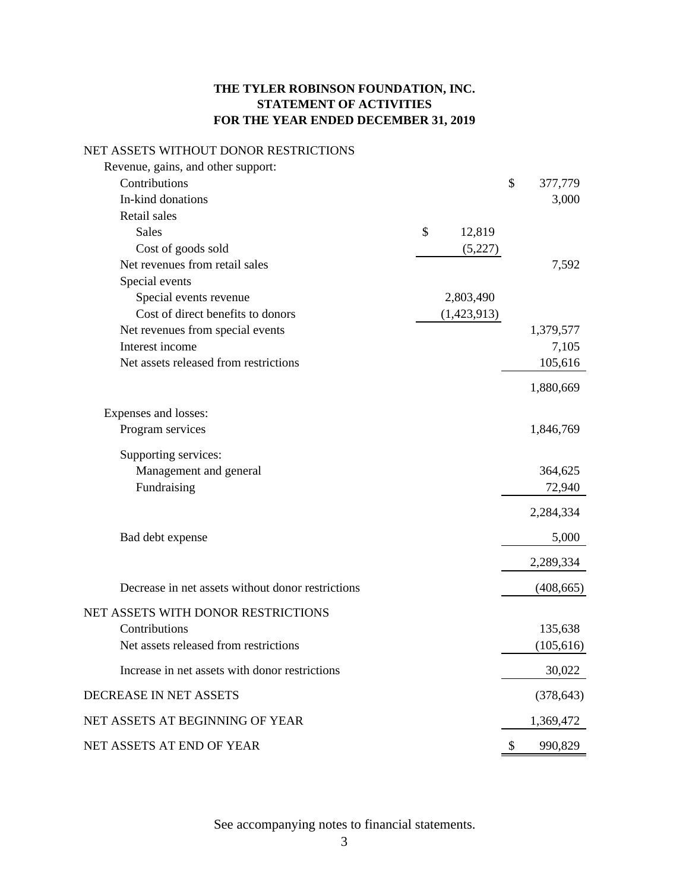# **THE TYLER ROBINSON FOUNDATION, INC. STATEMENT OF ACTIVITIES FOR THE YEAR ENDED DECEMBER 31, 2019**

# NET ASSETS WITHOUT DONOR RESTRICTIONS

| Revenue, gains, and other support:                |              |               |
|---------------------------------------------------|--------------|---------------|
| Contributions                                     |              | \$<br>377,779 |
| In-kind donations                                 |              | 3,000         |
| Retail sales                                      |              |               |
| <b>Sales</b>                                      | \$<br>12,819 |               |
| Cost of goods sold                                | (5,227)      |               |
| Net revenues from retail sales                    |              | 7,592         |
| Special events                                    |              |               |
| Special events revenue                            | 2,803,490    |               |
| Cost of direct benefits to donors                 | (1,423,913)  |               |
| Net revenues from special events                  |              | 1,379,577     |
| Interest income                                   |              | 7,105         |
| Net assets released from restrictions             |              | 105,616       |
|                                                   |              | 1,880,669     |
| Expenses and losses:                              |              |               |
| Program services                                  |              | 1,846,769     |
| Supporting services:                              |              |               |
| Management and general                            |              | 364,625       |
| Fundraising                                       |              | 72,940        |
|                                                   |              | 2,284,334     |
|                                                   |              |               |
| Bad debt expense                                  |              | 5,000         |
|                                                   |              | 2,289,334     |
| Decrease in net assets without donor restrictions |              | (408, 665)    |
| NET ASSETS WITH DONOR RESTRICTIONS                |              |               |
| Contributions                                     |              | 135,638       |
| Net assets released from restrictions             |              | (105, 616)    |
| Increase in net assets with donor restrictions    |              | 30,022        |
| DECREASE IN NET ASSETS                            |              | (378, 643)    |
| NET ASSETS AT BEGINNING OF YEAR                   |              | 1,369,472     |
| NET ASSETS AT END OF YEAR                         |              | \$<br>990,829 |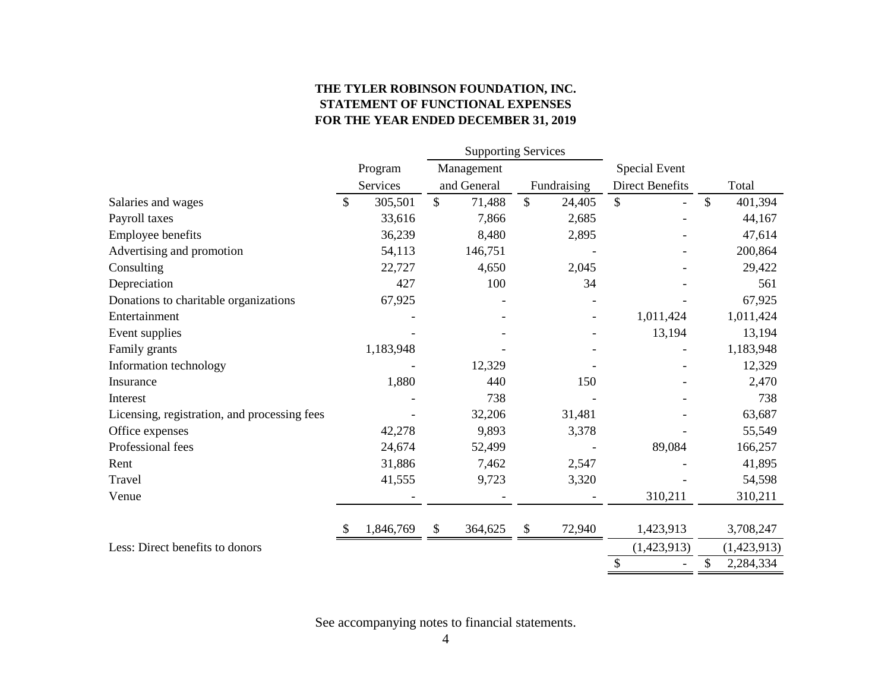# **THE TYLER ROBINSON FOUNDATION, INC. STATEMENT OF FUNCTIONAL EXPENSES FOR THE YEAR ENDED DECEMBER 31, 2019**

|                                              |               | <b>Supporting Services</b> |                           |             |                        |              |             |
|----------------------------------------------|---------------|----------------------------|---------------------------|-------------|------------------------|--------------|-------------|
|                                              | Program       | Management                 |                           |             | <b>Special Event</b>   |              |             |
|                                              | Services      | and General                |                           | Fundraising | <b>Direct Benefits</b> |              | Total       |
| Salaries and wages                           | \$<br>305,501 | \$<br>71,488               | $\mathbb{S}$              | 24,405      | \$                     | $\mathbb{S}$ | 401,394     |
| Payroll taxes                                | 33,616        | 7,866                      |                           | 2,685       |                        |              | 44,167      |
| Employee benefits                            | 36,239        | 8,480                      |                           | 2,895       |                        |              | 47,614      |
| Advertising and promotion                    | 54,113        | 146,751                    |                           |             |                        |              | 200,864     |
| Consulting                                   | 22,727        | 4,650                      |                           | 2,045       |                        |              | 29,422      |
| Depreciation                                 | 427           | 100                        |                           | 34          |                        |              | 561         |
| Donations to charitable organizations        | 67,925        |                            |                           |             |                        |              | 67,925      |
| Entertainment                                |               |                            |                           |             | 1,011,424              |              | 1,011,424   |
| Event supplies                               |               |                            |                           |             | 13,194                 |              | 13,194      |
| Family grants                                | 1,183,948     |                            |                           |             |                        |              | 1,183,948   |
| Information technology                       |               | 12,329                     |                           |             |                        |              | 12,329      |
| Insurance                                    | 1,880         | 440                        |                           | 150         |                        |              | 2,470       |
| Interest                                     |               | 738                        |                           |             |                        |              | 738         |
| Licensing, registration, and processing fees |               | 32,206                     |                           | 31,481      |                        |              | 63,687      |
| Office expenses                              | 42,278        | 9,893                      |                           | 3,378       |                        |              | 55,549      |
| Professional fees                            | 24,674        | 52,499                     |                           |             | 89,084                 |              | 166,257     |
| Rent                                         | 31,886        | 7,462                      |                           | 2,547       |                        |              | 41,895      |
| Travel                                       | 41,555        | 9,723                      |                           | 3,320       |                        |              | 54,598      |
| Venue                                        |               |                            |                           |             | 310,211                |              | 310,211     |
|                                              | 1,846,769     | \$<br>364,625              | $\boldsymbol{\mathsf{S}}$ | 72,940      | 1,423,913              |              | 3,708,247   |
| Less: Direct benefits to donors              |               |                            |                           |             | (1,423,913)            |              | (1,423,913) |
|                                              |               |                            |                           |             | \$                     | \$           | 2,284,334   |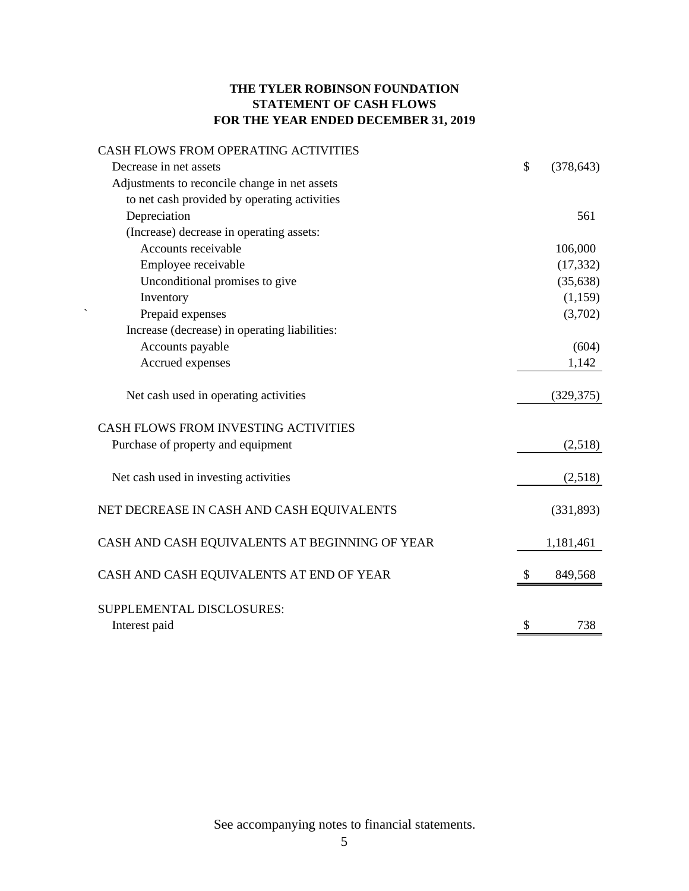# **THE TYLER ROBINSON FOUNDATION STATEMENT OF CASH FLOWS FOR THE YEAR ENDED DECEMBER 31, 2019**

| CASH FLOWS FROM OPERATING ACTIVITIES           |               |            |
|------------------------------------------------|---------------|------------|
| Decrease in net assets                         | \$            | (378, 643) |
| Adjustments to reconcile change in net assets  |               |            |
| to net cash provided by operating activities   |               |            |
| Depreciation                                   |               | 561        |
| (Increase) decrease in operating assets:       |               |            |
| Accounts receivable                            |               | 106,000    |
| Employee receivable                            |               | (17, 332)  |
| Unconditional promises to give                 |               | (35, 638)  |
| Inventory                                      |               | (1,159)    |
| Prepaid expenses                               |               | (3,702)    |
| Increase (decrease) in operating liabilities:  |               |            |
| Accounts payable                               |               | (604)      |
| Accrued expenses                               |               | 1,142      |
| Net cash used in operating activities          |               | (329, 375) |
| CASH FLOWS FROM INVESTING ACTIVITIES           |               |            |
| Purchase of property and equipment             |               | (2,518)    |
| Net cash used in investing activities          |               | (2,518)    |
| NET DECREASE IN CASH AND CASH EQUIVALENTS      |               | (331, 893) |
| CASH AND CASH EQUIVALENTS AT BEGINNING OF YEAR |               | 1,181,461  |
| CASH AND CASH EQUIVALENTS AT END OF YEAR       | <sup>\$</sup> | 849,568    |
| SUPPLEMENTAL DISCLOSURES:                      |               |            |
| Interest paid                                  | \$            | 738        |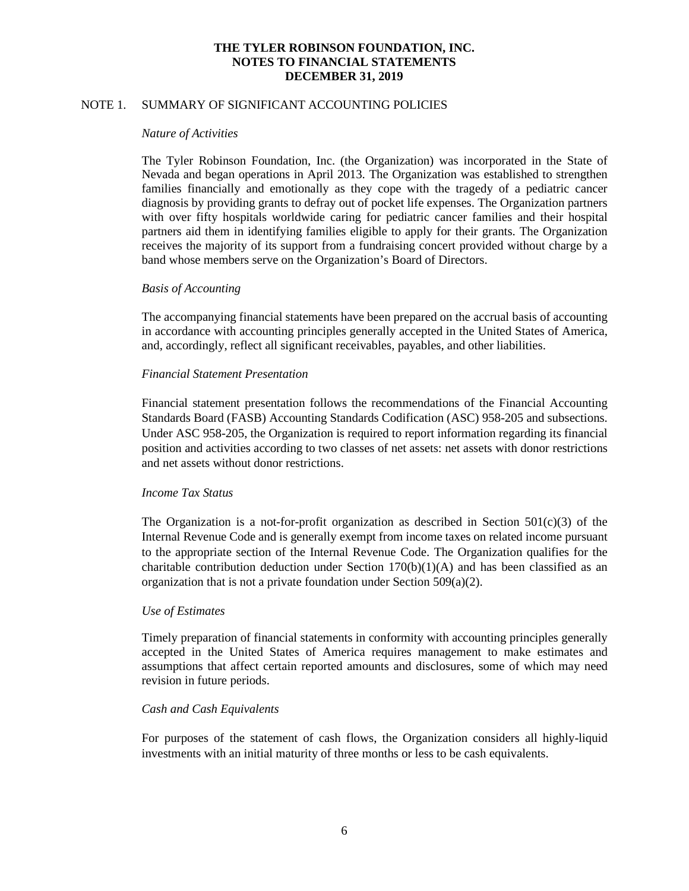# NOTE 1. SUMMARY OF SIGNIFICANT ACCOUNTING POLICIES

#### *Nature of Activities*

The Tyler Robinson Foundation, Inc. (the Organization) was incorporated in the State of Nevada and began operations in April 2013. The Organization was established to strengthen families financially and emotionally as they cope with the tragedy of a pediatric cancer diagnosis by providing grants to defray out of pocket life expenses. The Organization partners with over fifty hospitals worldwide caring for pediatric cancer families and their hospital partners aid them in identifying families eligible to apply for their grants. The Organization receives the majority of its support from a fundraising concert provided without charge by a band whose members serve on the Organization's Board of Directors.

#### *Basis of Accounting*

The accompanying financial statements have been prepared on the accrual basis of accounting in accordance with accounting principles generally accepted in the United States of America, and, accordingly, reflect all significant receivables, payables, and other liabilities.

# *Financial Statement Presentation*

Financial statement presentation follows the recommendations of the Financial Accounting Standards Board (FASB) Accounting Standards Codification (ASC) 958-205 and subsections. Under ASC 958-205, the Organization is required to report information regarding its financial position and activities according to two classes of net assets: net assets with donor restrictions and net assets without donor restrictions.

#### *Income Tax Status*

The Organization is a not-for-profit organization as described in Section  $501(c)(3)$  of the Internal Revenue Code and is generally exempt from income taxes on related income pursuant to the appropriate section of the Internal Revenue Code. The Organization qualifies for the charitable contribution deduction under Section  $170(b)(1)(A)$  and has been classified as an organization that is not a private foundation under Section 509(a)(2).

#### *Use of Estimates*

Timely preparation of financial statements in conformity with accounting principles generally accepted in the United States of America requires management to make estimates and assumptions that affect certain reported amounts and disclosures, some of which may need revision in future periods.

#### *Cash and Cash Equivalents*

For purposes of the statement of cash flows, the Organization considers all highly-liquid investments with an initial maturity of three months or less to be cash equivalents.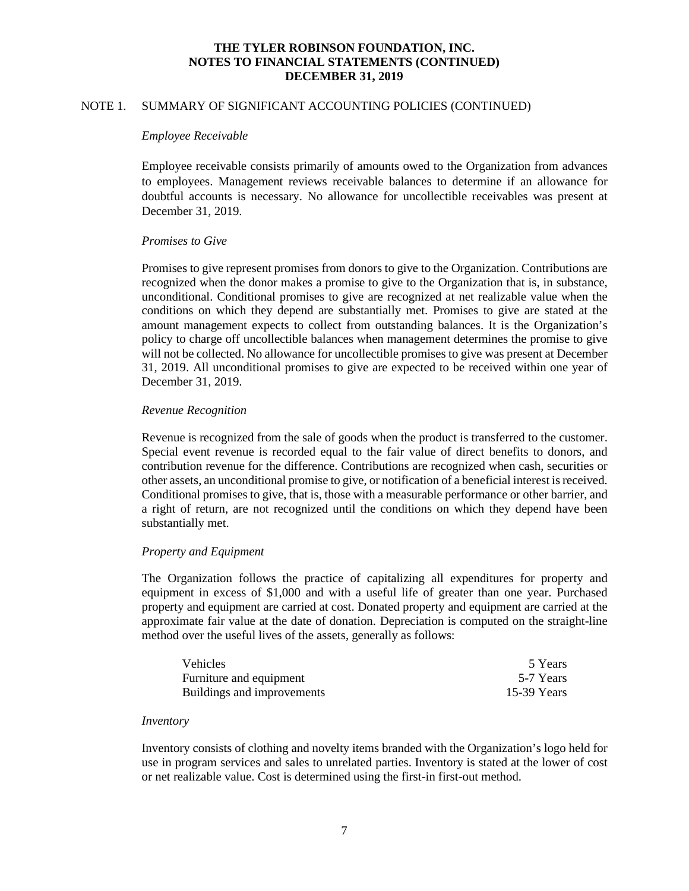# NOTE 1. SUMMARY OF SIGNIFICANT ACCOUNTING POLICIES (CONTINUED)

#### *Employee Receivable*

Employee receivable consists primarily of amounts owed to the Organization from advances to employees. Management reviews receivable balances to determine if an allowance for doubtful accounts is necessary. No allowance for uncollectible receivables was present at December 31, 2019.

#### *Promises to Give*

Promises to give represent promises from donors to give to the Organization. Contributions are recognized when the donor makes a promise to give to the Organization that is, in substance, unconditional. Conditional promises to give are recognized at net realizable value when the conditions on which they depend are substantially met. Promises to give are stated at the amount management expects to collect from outstanding balances. It is the Organization's policy to charge off uncollectible balances when management determines the promise to give will not be collected. No allowance for uncollectible promises to give was present at December 31, 2019. All unconditional promises to give are expected to be received within one year of December 31, 2019.

#### *Revenue Recognition*

Revenue is recognized from the sale of goods when the product is transferred to the customer. Special event revenue is recorded equal to the fair value of direct benefits to donors, and contribution revenue for the difference. Contributions are recognized when cash, securities or other assets, an unconditional promise to give, or notification of a beneficial interest is received. Conditional promises to give, that is, those with a measurable performance or other barrier, and a right of return, are not recognized until the conditions on which they depend have been substantially met.

#### *Property and Equipment*

The Organization follows the practice of capitalizing all expenditures for property and equipment in excess of \$1,000 and with a useful life of greater than one year. Purchased property and equipment are carried at cost. Donated property and equipment are carried at the approximate fair value at the date of donation. Depreciation is computed on the straight-line method over the useful lives of the assets, generally as follows:

| <b>Vehicles</b>            | 5 Years     |
|----------------------------|-------------|
| Furniture and equipment    | 5-7 Years   |
| Buildings and improvements | 15-39 Years |

#### *Inventory*

Inventory consists of clothing and novelty items branded with the Organization's logo held for use in program services and sales to unrelated parties. Inventory is stated at the lower of cost or net realizable value. Cost is determined using the first-in first-out method.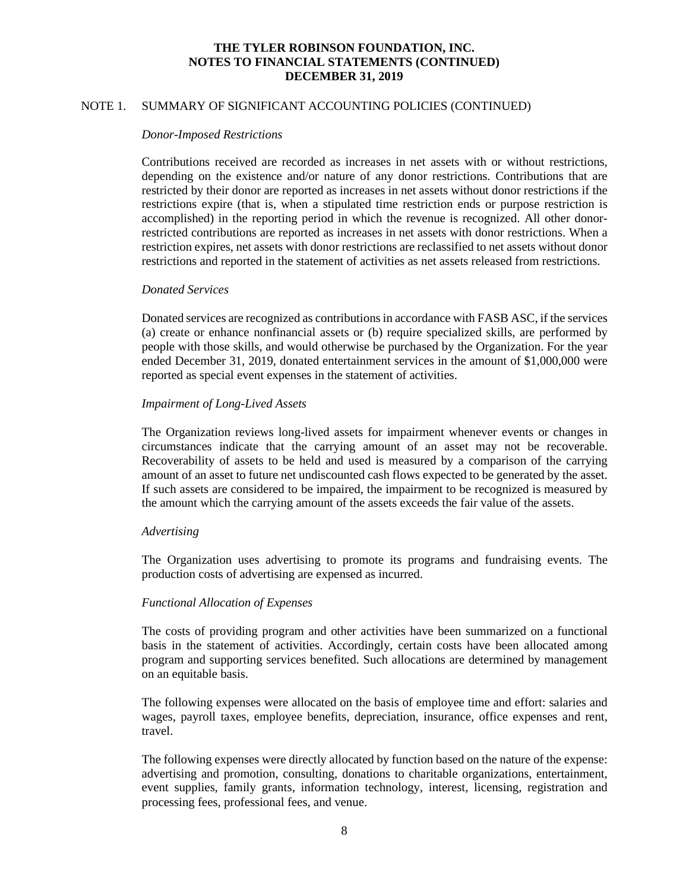# NOTE 1. SUMMARY OF SIGNIFICANT ACCOUNTING POLICIES (CONTINUED)

#### *Donor-Imposed Restrictions*

Contributions received are recorded as increases in net assets with or without restrictions, depending on the existence and/or nature of any donor restrictions. Contributions that are restricted by their donor are reported as increases in net assets without donor restrictions if the restrictions expire (that is, when a stipulated time restriction ends or purpose restriction is accomplished) in the reporting period in which the revenue is recognized. All other donorrestricted contributions are reported as increases in net assets with donor restrictions. When a restriction expires, net assets with donor restrictions are reclassified to net assets without donor restrictions and reported in the statement of activities as net assets released from restrictions.

#### *Donated Services*

Donated services are recognized as contributions in accordance with FASB ASC, if the services (a) create or enhance nonfinancial assets or (b) require specialized skills, are performed by people with those skills, and would otherwise be purchased by the Organization. For the year ended December 31, 2019, donated entertainment services in the amount of \$1,000,000 were reported as special event expenses in the statement of activities.

#### *Impairment of Long-Lived Assets*

The Organization reviews long-lived assets for impairment whenever events or changes in circumstances indicate that the carrying amount of an asset may not be recoverable. Recoverability of assets to be held and used is measured by a comparison of the carrying amount of an asset to future net undiscounted cash flows expected to be generated by the asset. If such assets are considered to be impaired, the impairment to be recognized is measured by the amount which the carrying amount of the assets exceeds the fair value of the assets.

#### *Advertising*

The Organization uses advertising to promote its programs and fundraising events. The production costs of advertising are expensed as incurred.

#### *Functional Allocation of Expenses*

The costs of providing program and other activities have been summarized on a functional basis in the statement of activities. Accordingly, certain costs have been allocated among program and supporting services benefited. Such allocations are determined by management on an equitable basis.

The following expenses were allocated on the basis of employee time and effort: salaries and wages, payroll taxes, employee benefits, depreciation, insurance, office expenses and rent, travel.

The following expenses were directly allocated by function based on the nature of the expense: advertising and promotion, consulting, donations to charitable organizations, entertainment, event supplies, family grants, information technology, interest, licensing, registration and processing fees, professional fees, and venue.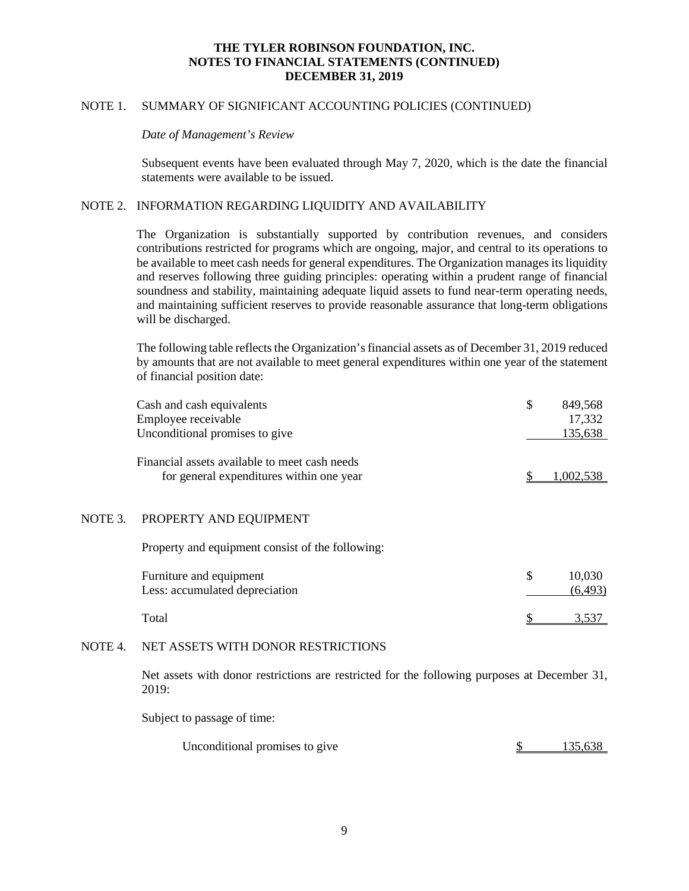# NOTE 1. SUMMARY OF SIGNIFICANT ACCOUNTING POLICIES (CONTINUED)

#### *Date of Management's Review*

Subsequent events have been evaluated through May 7, 2020, which is the date the financial statements were available to be issued.

## NOTE 2. INFORMATION REGARDING LIQUIDITY AND AVAILABILITY

The Organization is substantially supported by contribution revenues, and considers contributions restricted for programs which are ongoing, major, and central to its operations to be available to meet cash needs for general expenditures. The Organization manages its liquidity and reserves following three guiding principles: operating within a prudent range of financial soundness and stability, maintaining adequate liquid assets to fund near-term operating needs, and maintaining sufficient reserves to provide reasonable assurance that long-term obligations will be discharged.

The following table reflects the Organization's financial assets as of December 31, 2019 reduced by amounts that are not available to meet general expenditures within one year of the statement of financial position date:

|         | Cash and cash equivalents                        | \$<br>849,568 |
|---------|--------------------------------------------------|---------------|
|         | Employee receivable                              | 17,332        |
|         | Unconditional promises to give                   | 135,638       |
|         | Financial assets available to meet cash needs    |               |
|         | for general expenditures within one year         | 1,002,538     |
|         |                                                  |               |
| NOTE 3. | PROPERTY AND EQUIPMENT                           |               |
|         | Property and equipment consist of the following: |               |
|         | Furniture and equipment                          | \$<br>10,030  |
|         | Less: accumulated depreciation                   | (6, 493)      |
|         | Total                                            | 3.537         |
|         |                                                  |               |

#### NOTE 4. NET ASSETS WITH DONOR RESTRICTIONS

Net assets with donor restrictions are restricted for the following purposes at December 31, 2019:

Subject to passage of time:

| Unconditional promises to give | 135,638 |  |
|--------------------------------|---------|--|
|--------------------------------|---------|--|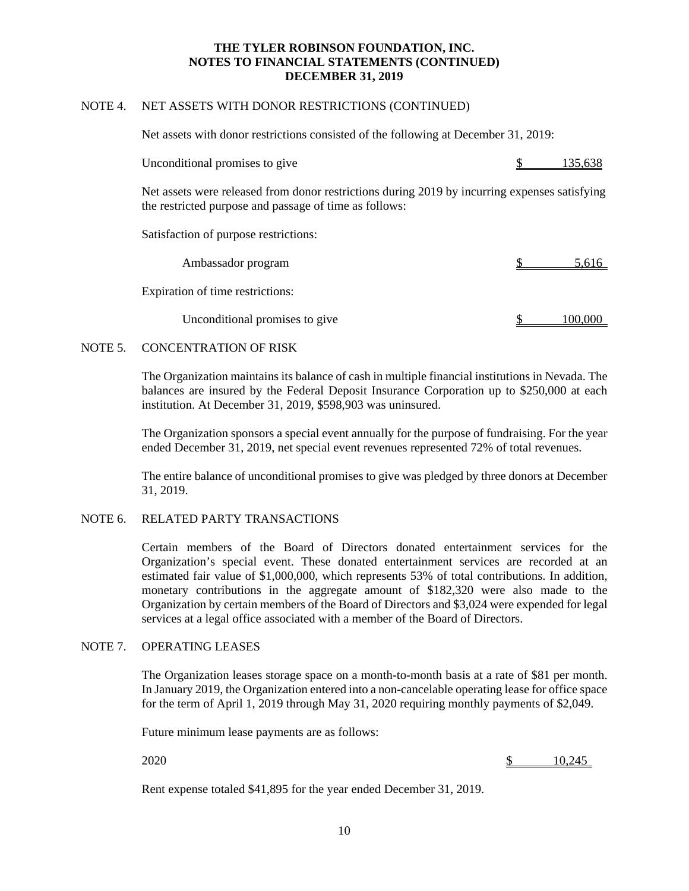# NOTE 4. NET ASSETS WITH DONOR RESTRICTIONS (CONTINUED)

Net assets with donor restrictions consisted of the following at December 31, 2019:

| Unconditional promises to give | 135,638 |
|--------------------------------|---------|
|--------------------------------|---------|

Net assets were released from donor restrictions during 2019 by incurring expenses satisfying the restricted purpose and passage of time as follows:

Satisfaction of purpose restrictions:

| Ambassador program               | 5,616 |
|----------------------------------|-------|
| Expiration of time restrictions: |       |
| Unconditional promises to give   |       |

# NOTE 5. CONCENTRATION OF RISK

The Organization maintains its balance of cash in multiple financial institutions in Nevada. The balances are insured by the Federal Deposit Insurance Corporation up to \$250,000 at each institution. At December 31, 2019, \$598,903 was uninsured.

The Organization sponsors a special event annually for the purpose of fundraising. For the year ended December 31, 2019, net special event revenues represented 72% of total revenues.

The entire balance of unconditional promises to give was pledged by three donors at December 31, 2019.

# NOTE 6. RELATED PARTY TRANSACTIONS

Certain members of the Board of Directors donated entertainment services for the Organization's special event. These donated entertainment services are recorded at an estimated fair value of \$1,000,000, which represents 53% of total contributions. In addition, monetary contributions in the aggregate amount of \$182,320 were also made to the Organization by certain members of the Board of Directors and \$3,024 were expended for legal services at a legal office associated with a member of the Board of Directors.

#### NOTE 7. OPERATING LEASES

The Organization leases storage space on a month-to-month basis at a rate of \$81 per month. In January 2019, the Organization entered into a non-cancelable operating lease for office space for the term of April 1, 2019 through May 31, 2020 requiring monthly payments of \$2,049.

Future minimum lease payments are as follows:

2020 \$ 10,245

Rent expense totaled \$41,895 for the year ended December 31, 2019.